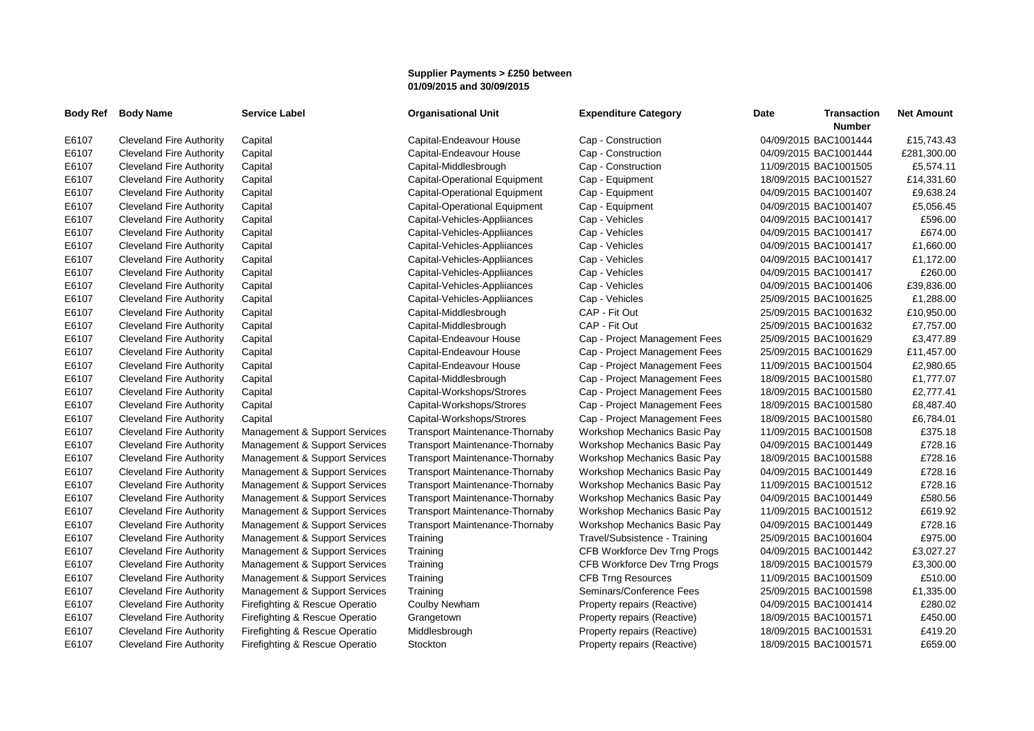## **Supplier Payments > £250 between 01/09/2015 and 30/09/2015**

| <b>Body Ref</b> | <b>Body Name</b>                | <b>Service Label</b>           | <b>Organisational Unit</b>            | <b>Expenditure Category</b>   | Date | <b>Transaction</b><br><b>Number</b> | <b>Net Amount</b> |
|-----------------|---------------------------------|--------------------------------|---------------------------------------|-------------------------------|------|-------------------------------------|-------------------|
| E6107           | <b>Cleveland Fire Authority</b> | Capital                        | Capital-Endeavour House               | Cap - Construction            |      | 04/09/2015 BAC1001444               | £15,743.43        |
| E6107           | <b>Cleveland Fire Authority</b> | Capital                        | Capital-Endeavour House               | Cap - Construction            |      | 04/09/2015 BAC1001444               | £281,300.00       |
| E6107           | <b>Cleveland Fire Authority</b> | Capital                        | Capital-Middlesbrough                 | Cap - Construction            |      | 11/09/2015 BAC1001505               | £5,574.11         |
| E6107           | <b>Cleveland Fire Authority</b> | Capital                        | Capital-Operational Equipment         | Cap - Equipment               |      | 18/09/2015 BAC1001527               | £14,331.60        |
| E6107           | <b>Cleveland Fire Authority</b> | Capital                        | Capital-Operational Equipment         | Cap - Equipment               |      | 04/09/2015 BAC1001407               | £9,638.24         |
| E6107           | <b>Cleveland Fire Authority</b> | Capital                        | <b>Capital-Operational Equipment</b>  | Cap - Equipment               |      | 04/09/2015 BAC1001407               | £5,056.45         |
| E6107           | <b>Cleveland Fire Authority</b> | Capital                        | Capital-Vehicles-Appliiances          | Cap - Vehicles                |      | 04/09/2015 BAC1001417               | £596.00           |
| E6107           | <b>Cleveland Fire Authority</b> | Capital                        | Capital-Vehicles-Appliiances          | Cap - Vehicles                |      | 04/09/2015 BAC1001417               | £674.00           |
| E6107           | <b>Cleveland Fire Authority</b> | Capital                        | Capital-Vehicles-Appliiances          | Cap - Vehicles                |      | 04/09/2015 BAC1001417               | £1,660.00         |
| E6107           | <b>Cleveland Fire Authority</b> | Capital                        | Capital-Vehicles-Appliiances          | Cap - Vehicles                |      | 04/09/2015 BAC1001417               | £1,172.00         |
| E6107           | <b>Cleveland Fire Authority</b> | Capital                        | Capital-Vehicles-Appliiances          | Cap - Vehicles                |      | 04/09/2015 BAC1001417               | £260.00           |
| E6107           | <b>Cleveland Fire Authority</b> | Capital                        | Capital-Vehicles-Appliiances          | Cap - Vehicles                |      | 04/09/2015 BAC1001406               | £39,836.00        |
| E6107           | <b>Cleveland Fire Authority</b> | Capital                        | Capital-Vehicles-Appliiances          | Cap - Vehicles                |      | 25/09/2015 BAC1001625               | £1,288.00         |
| E6107           | <b>Cleveland Fire Authority</b> | Capital                        | Capital-Middlesbrough                 | CAP - Fit Out                 |      | 25/09/2015 BAC1001632               | £10,950.00        |
| E6107           | <b>Cleveland Fire Authority</b> | Capital                        | Capital-Middlesbrough                 | CAP - Fit Out                 |      | 25/09/2015 BAC1001632               | £7,757.00         |
| E6107           | <b>Cleveland Fire Authority</b> | Capital                        | Capital-Endeavour House               | Cap - Project Management Fees |      | 25/09/2015 BAC1001629               | £3,477.89         |
| E6107           | <b>Cleveland Fire Authority</b> | Capital                        | Capital-Endeavour House               | Cap - Project Management Fees |      | 25/09/2015 BAC1001629               | £11,457.00        |
| E6107           | <b>Cleveland Fire Authority</b> | Capital                        | Capital-Endeavour House               | Cap - Project Management Fees |      | 11/09/2015 BAC1001504               | £2,980.65         |
| E6107           | Cleveland Fire Authority        | Capital                        | Capital-Middlesbrough                 | Cap - Project Management Fees |      | 18/09/2015 BAC1001580               | £1,777.07         |
| E6107           | <b>Cleveland Fire Authority</b> | Capital                        | Capital-Workshops/Strores             | Cap - Project Management Fees |      | 18/09/2015 BAC1001580               | £2,777.41         |
| E6107           | <b>Cleveland Fire Authority</b> | Capital                        | Capital-Workshops/Strores             | Cap - Project Management Fees |      | 18/09/2015 BAC1001580               | £8,487.40         |
| E6107           | <b>Cleveland Fire Authority</b> | Capital                        | Capital-Workshops/Strores             | Cap - Project Management Fees |      | 18/09/2015 BAC1001580               | £6,784.01         |
| E6107           | <b>Cleveland Fire Authority</b> | Management & Support Services  | <b>Transport Maintenance-Thornaby</b> | Workshop Mechanics Basic Pay  |      | 11/09/2015 BAC1001508               | £375.18           |
| E6107           | <b>Cleveland Fire Authority</b> | Management & Support Services  | <b>Transport Maintenance-Thornaby</b> | Workshop Mechanics Basic Pay  |      | 04/09/2015 BAC1001449               | £728.16           |
| E6107           | <b>Cleveland Fire Authority</b> | Management & Support Services  | <b>Transport Maintenance-Thornaby</b> | Workshop Mechanics Basic Pay  |      | 18/09/2015 BAC1001588               | £728.16           |
| E6107           | <b>Cleveland Fire Authority</b> | Management & Support Services  | <b>Transport Maintenance-Thornaby</b> | Workshop Mechanics Basic Pay  |      | 04/09/2015 BAC1001449               | £728.16           |
| E6107           | <b>Cleveland Fire Authority</b> | Management & Support Services  | <b>Transport Maintenance-Thornaby</b> | Workshop Mechanics Basic Pay  |      | 11/09/2015 BAC1001512               | £728.16           |
| E6107           | <b>Cleveland Fire Authority</b> | Management & Support Services  | Transport Maintenance-Thornaby        | Workshop Mechanics Basic Pay  |      | 04/09/2015 BAC1001449               | £580.56           |
| E6107           | <b>Cleveland Fire Authority</b> | Management & Support Services  | Transport Maintenance-Thornaby        | Workshop Mechanics Basic Pay  |      | 11/09/2015 BAC1001512               | £619.92           |
| E6107           | <b>Cleveland Fire Authority</b> | Management & Support Services  | <b>Transport Maintenance-Thornaby</b> | Workshop Mechanics Basic Pay  |      | 04/09/2015 BAC1001449               | £728.16           |
| E6107           | <b>Cleveland Fire Authority</b> | Management & Support Services  | Training                              | Travel/Subsistence - Training |      | 25/09/2015 BAC1001604               | £975.00           |
| E6107           | <b>Cleveland Fire Authority</b> | Management & Support Services  | Training                              | CFB Workforce Dev Trng Progs  |      | 04/09/2015 BAC1001442               | £3,027.27         |
| E6107           | <b>Cleveland Fire Authority</b> | Management & Support Services  | Training                              | CFB Workforce Dev Trng Progs  |      | 18/09/2015 BAC1001579               | £3,300.00         |
| E6107           | <b>Cleveland Fire Authority</b> | Management & Support Services  | Training                              | <b>CFB Trng Resources</b>     |      | 11/09/2015 BAC1001509               | £510.00           |
| E6107           | <b>Cleveland Fire Authority</b> | Management & Support Services  | Training                              | Seminars/Conference Fees      |      | 25/09/2015 BAC1001598               | £1,335.00         |
| E6107           | <b>Cleveland Fire Authority</b> | Firefighting & Rescue Operatio | <b>Coulby Newham</b>                  | Property repairs (Reactive)   |      | 04/09/2015 BAC1001414               | £280.02           |
| E6107           | <b>Cleveland Fire Authority</b> | Firefighting & Rescue Operatio | Grangetown                            | Property repairs (Reactive)   |      | 18/09/2015 BAC1001571               | £450.00           |
| E6107           | <b>Cleveland Fire Authority</b> | Firefighting & Rescue Operatio | Middlesbrough                         | Property repairs (Reactive)   |      | 18/09/2015 BAC1001531               | £419.20           |
| E6107           | <b>Cleveland Fire Authority</b> | Firefighting & Rescue Operatio | Stockton                              | Property repairs (Reactive)   |      | 18/09/2015 BAC1001571               | £659.00           |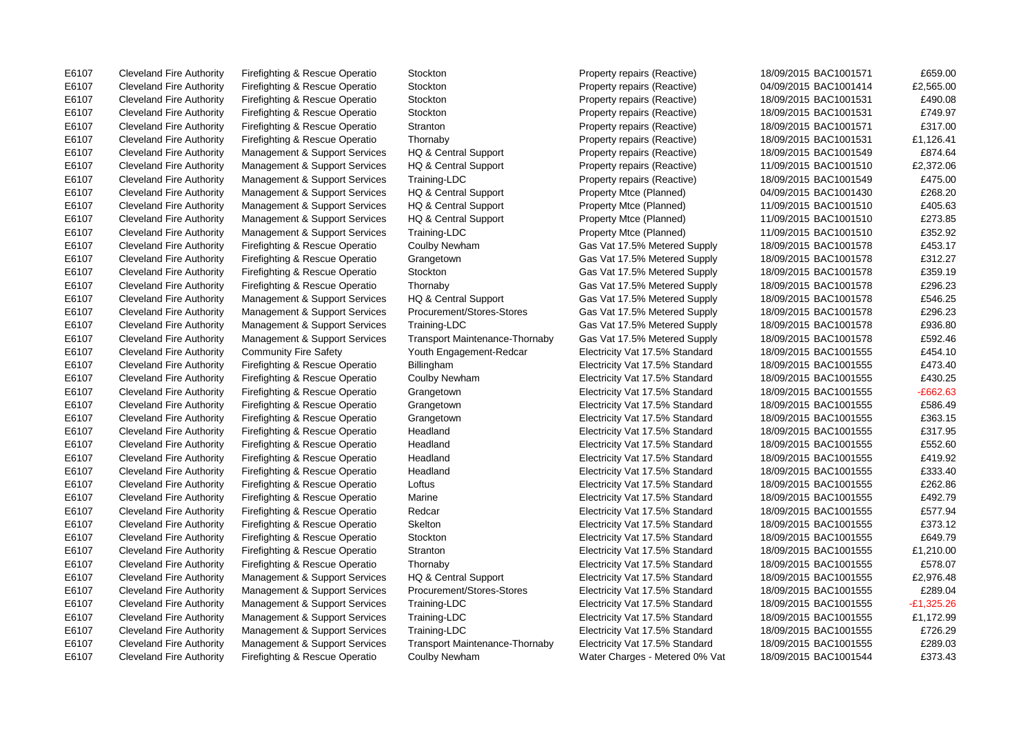E6107 Cleveland Fire Authority Firefighting & Rescue Operatio Stockton Property repairs (Reactive) 18/09/2015 BAC1001571 £659.00 E6107 Cleveland Fire Authority Firefighting & Rescue Operatio Stockton Property repairs (Reactive) 04/09/2015 BAC1001414 £2,565.00 E6107 Cleveland Fire Authority Firefighting & Rescue Operatio Stockton Property repairs (Reactive) 18/09/2015 BAC1001531 £490.08 E6107 Cleveland Fire Authority Firefighting & Rescue Operatio Stockton Property repairs (Reactive) 18/09/2015 BAC1001531 £749.97 E6107 Cleveland Fire Authority Firefighting & Rescue Operatio Stranton Property repairs (Reactive) 18/09/2015 BAC1001571 £317.00 E6107 Cleveland Fire Authority Firefighting & Rescue Operatio Thornaby Property repairs (Reactive) 18/09/2015 BAC1001531 £1,126.41 E6107 Cleveland Fire Authority Management & Support Services HQ & Central Support Property repairs (Reactive) 18/09/2015 BAC1001549 £874.64 E6107 Cleveland Fire Authority Management & Support Services HQ & Central Support Property repairs (Reactive) 11/09/2015 BAC1001510 £2,372.06 E6107 Cleveland Fire Authority Management & Support Services Training-LDC Property repairs (Reactive) 18/09/2015 BAC1001549 £475.00 E6107 Cleveland Fire Authority Management & Support Services HQ & Central Support Property Mtce (Planned) 04/09/2015 BAC1001430 £268.20 E6107 Cleveland Fire Authority Management & Support Services HQ & Central Support Property Mtce (Planned) 11/09/2015 BAC1001510 £405.63 E6107 Cleveland Fire Authority Management & Support Services HQ & Central Support Property Mtce (Planned) 11/09/2015 BAC1001510 £273.85 E6107 Cleveland Fire Authority Management & Support Services Training-LDC Property Mtce (Planned) 11/09/2015 BAC1001510 £352.92 E6107 Cleveland Fire Authority Firefighting & Rescue Operatio Coulby Newham Gas Vat 17.5% Metered Supply 18/09/2015 BAC1001578 £453.17 E6107 Cleveland Fire Authority Firefighting & Rescue Operatio Grangetown Gras Gas Vat 17.5% Metered Supply 18/09/2015 BAC1001578 £312.27 E6107 Cleveland Fire Authority Firefighting & Rescue Operatio Stockton Gas Vat 17.5% Metered Supply 18/09/2015 BAC1001578 £359.19 E6107 Cleveland Fire Authority Firefighting & Rescue Operatio Thornaby Gas Vat 17.5% Metered Supply 18/09/2015 BAC1001578 £296.23 E6107 Cleveland Fire Authority Management & Support Services HQ & Central Support Gas Vat 17.5% Metered Supply 18/09/2015 BAC1001578 £546.25 E6107 Cleveland Fire Authority Management & Support Services Procurement/Stores-Stores Gas Vat 17.5% Metered Supply 18/09/2015 BAC1001578 £296.23 E6107 Cleveland Fire Authority Management & Support Services Training-LDC Gas Vat 17.5% Metered Supply 18/09/2015 BAC1001578 £936.80 E6107 Cleveland Fire Authority Management & Support Services Transport Maintenance-Thornaby Gas Vat 17.5% Metered Supply 18/09/2015 BAC1001578 £592.46 E6107 Cleveland Fire Authority Community Fire Safety Youth Engagement-Redcar Electricity Vat 17.5% Standard 18/09/2015 BAC1001555 £454.10 E6107 Cleveland Fire Authority Firefighting & Rescue Operatio Billingham Electricity Vat 17.5% Standard 18/09/2015 BAC1001555 £473.40 E6107 Cleveland Fire Authority Firefighting & Rescue Operatio Coulby Newham Electricity Vat 17.5% Standard 18/09/2015 BAC1001555 £430.25 E6107 Cleveland Fire Authority Firefighting & Rescue Operatio Grangetown Electricity Vat 17.5% Standard 18/09/2015 BAC1001555 - £662.63 E6107 Cleveland Fire Authority Firefighting & Rescue Operatio Grangetown Electricity Vat 17.5% Standard 18/09/2015 BAC1001555 £586.49 E6107 Cleveland Fire Authority Firefighting & Rescue Operatio Grangetown Electricity Vat 17.5% Standard 18/09/2015 BAC1001555 £363.15 E6107 Cleveland Fire Authority Firefighting & Rescue Operatio Headland Electricity Vat 17.5% Standard 18/09/2015 BAC1001555 £317.95 E6107 Cleveland Fire Authority Firefighting & Rescue Operatio Headland Electricity Vat 17.5% Standard 18/09/2015 BAC1001555 £552.60 E6107 Cleveland Fire Authority Firefighting & Rescue Operatio Headland Electricity Vat 17.5% Standard 18/09/2015 BAC1001555 £419.92 E6107 Cleveland Fire Authority Firefighting & Rescue Operatio Headland Electricity Vat 17.5% Standard 18/09/2015 BAC1001555 £333.40 E6107 Cleveland Fire Authority Firefighting & Rescue Operatio Loftus Electricity Vat 17.5% Standard 18/09/2015 BAC1001555 £262.86 E6107 Cleveland Fire Authority Firefighting & Rescue Operatio Marine Electricity Vat 17.5% Standard 18/09/2015 BAC1001555 £492.79 E6107 Cleveland Fire Authority Firefighting & Rescue Operatio Redcar Electricity Vat 17.5% Standard 18/09/2015 BAC1001555 £577.94 E6107 Cleveland Fire Authority Firefighting & Rescue Operatio Skelton Electricity Vat 17.5% Standard 18/09/2015 BAC1001555 £373.12 E6107 Cleveland Fire Authority Firefighting & Rescue Operatio Stockton Electricity Vat 17.5% Standard 18/09/2015 BAC1001555 £649.79 E6107 Cleveland Fire Authority Firefighting & Rescue Operatio Stranton Electricity Vat 17.5% Standard 18/09/2015 BAC1001555 £1,210.00 E6107 Cleveland Fire Authority Firefighting & Rescue Operatio Thornaby Electricity Vat 17.5% Standard 18/09/2015 BAC1001555 £578.07 E6107 Cleveland Fire Authority Management & Support Services HQ & Central Support Electricity Vat 17.5% Standard 18/09/2015 BAC1001555 £2,976.48 E6107 Cleveland Fire Authority Management & Support Services Procurement/Stores-Stores Electricity Vat 17.5% Standard 18/09/2015 BAC1001555 £289.04 E6107 Cleveland Fire Authority Management & Support Services Training-LDC Electricity Vat 17.5% Standard 18/09/2015 BAC1001555 -£1,325.26 E6107 Cleveland Fire Authority Management & Support Services Training-LDC Electricity Vat 17.5% Standard 18/09/2015 BAC1001555 £1,172.99 E6107 Cleveland Fire Authority Management & Support Services Training-LDC Electricity Vat 17.5% Standard 18/09/2015 BAC1001555 £726.29 E6107 Cleveland Fire Authority Management & Support Services Transport Maintenance-Thornaby Electricity Vat 17.5% Standard 18/09/2015 BAC1001555 £289.03 E6107 Cleveland Fire Authority Firefighting & Rescue Operatio Coulby Newham Water Charges - Metered 0% Vat 18/09/2015 BAC1001544 £373.43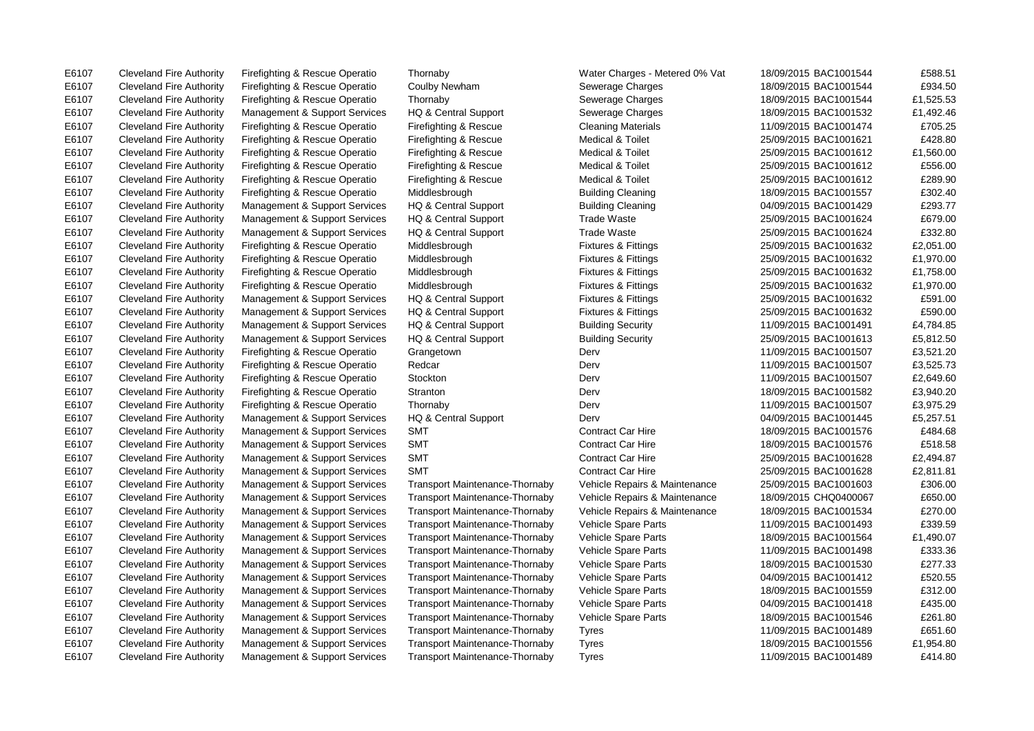E6107 Cleveland Fire Authority Firefighting & Rescue Operatio Thornaby Water Charges - Metered 0% Vat 18/09/2015 BAC1001544 £588.51 E6107 Cleveland Fire Authority Firefighting & Rescue Operatio Coulby Newham Sewerage Charges 18/09/2015 BAC1001544 £934.50 E6107 Cleveland Fire Authority Firefighting & Rescue Operatio Thornaby Sewerage Charges 18/09/2015 BAC1001544 £1,525.53 E6107 Cleveland Fire Authority Management & Support Services HQ & Central Support Sewerage Charges 18/09/2015 BAC1001532 £1,492.46 E6107 Cleveland Fire Authority Firefighting & Rescue Operatio Firefighting & Rescue Cleaning Materials 11/09/2015 BAC1001474 £705.25 E6107 Cleveland Fire Authority Firefighting & Rescue Operatio Firefighting & Rescue Medical & Toilet 25/09/2015 BAC1001621 £428.80 E6107 Cleveland Fire Authority Firefighting & Rescue Operatio Firefighting & Rescue Medical & Toilet 25/09/2015 BAC1001612 £1,560.00 E6107 Cleveland Fire Authority Firefighting & Rescue Operatio Firefighting & Rescue Medical & Toilet 25/09/2015 BAC1001612 £556.00 E6107 Cleveland Fire Authority Firefighting & Rescue Operatio Firefighting & Rescue Medical & Toilet 25/09/2015 BAC1001612 £289.90 E6107 Cleveland Fire Authority Firefighting & Rescue Operatio Middlesbrough Building Cleaning 18/09/2015 BAC1001557 £302.40 E6107 Cleveland Fire Authority Management & Support Services HQ & Central Support Building Cleaning 04/09/2015 BAC1001429 £293.77 E6107 Cleveland Fire Authority Management & Support Services HQ & Central Support Trade Waste 25/09/2015 BAC1001624 £679.00 E6107 Cleveland Fire Authority Management & Support Services HQ & Central Support Trade Waste 25/09/2015 BAC1001624 £332.80 E6107 Cleveland Fire Authority Firefighting & Rescue Operatio Middlesbrough Fixtures & Fittings 25/09/2015 BAC1001632 £2,051.00 E6107 Cleveland Fire Authority Firefighting & Rescue Operatio Middlesbrough Fixtures & Fittings 25/09/2015 BAC1001632 £1,970.00 E6107 Cleveland Fire Authority Firefighting & Rescue Operatio Middlesbrough Fixtures & Fittings 25/09/2015 BAC1001632 £1,758.00 E6107 Cleveland Fire Authority Firefighting & Rescue Operatio Middlesbrough Fixtures & Fittings 25/09/2015 BAC1001632 £1,970.00 E6107 Cleveland Fire Authority Management & Support Services HQ & Central Support Fixtures & Fittings 25/09/2015 BAC1001632 £591.00 E6107 Cleveland Fire Authority Management & Support Services HQ & Central Support Fixtures & Fittings 25/09/2015 BAC1001632 £590.00 E6107 Cleveland Fire Authority Management & Support Services HQ & Central Support Building Security 11/09/2015 BAC1001491 £4,784.85 E6107 Cleveland Fire Authority Management & Support Services HQ & Central Support Building Security 25/09/2015 BAC1001613 £5,812.50 E6107 Cleveland Fire Authority Firefighting & Rescue Operatio Grangetown Derv Derv Derv 11/09/2015 BAC1001507 £3,521.20 E6107 Cleveland Fire Authority Firefighting & Rescue Operatio Redcar Derv Derv Derv 11/09/2015 BAC1001507 £3,525.73 E6107 Cleveland Fire Authority Firefighting & Rescue Operatio Stockton Derv Derv Derv 11/09/2015 BAC1001507 £2,649.60 E6107 Cleveland Fire Authority Firefighting & Rescue Operatio Stranton Derv Derv Derv 18/09/2015 BAC1001582 £3,940.20 E6107 Cleveland Fire Authority Firefighting & Rescue Operatio Thornaby Derv Derv Derv 11/09/2015 BAC1001507 £3,975.29 E6107 Cleveland Fire Authority Management & Support Services HQ & Central Support Derv Derv 04/09/2015 BAC1001445 £5,257.51 E6107 Cleveland Fire Authority Management & Support Services SMT Contract Car Hire 18/09/2015 BAC1001576 £484.68 E6107 Cleveland Fire Authority Management & Support Services SMT Contract Car Hire 18/09/2015 BAC1001576 £518.58 E6107 Cleveland Fire Authority Management & Support Services SMT Contract Car Hire 25/09/2015 BAC1001628 £2,494.87 E6107 Cleveland Fire Authority Management & Support Services SMT Contract Car Hire 25/09/2015 BAC1001628 £2.811.81 E6107 Cleveland Fire Authority Management & Support Services Transport Maintenance-Thornaby Vehicle Repairs & Maintenance 25/09/2015 BAC1001603 £306.00 E6107 Cleveland Fire Authority Management & Support Services Transport Maintenance-Thornaby Vehicle Repairs & Maintenance 18/09/2015 CHQ0400067 £650.00 E6107 Cleveland Fire Authority Management & Support Services Transport Maintenance-Thornaby Vehicle Repairs & Maintenance 18/09/2015 BAC1001534 £270.00 E6107 Cleveland Fire Authority Management & Support Services Transport Maintenance-Thornaby Vehicle Spare Parts 11/09/2015 BAC1001493 £339.59 E6107 Cleveland Fire Authority Management & Support Services Transport Maintenance-Thornaby Vehicle Spare Parts 18/09/2015 BAC1001564 £1,490.07 E6107 Cleveland Fire Authority Management & Support Services Transport Maintenance-Thornaby Vehicle Spare Parts 11/09/2015 BAC1001498 £333.36 E6107 Cleveland Fire Authority Management & Support Services Transport Maintenance-Thornaby Vehicle Spare Parts 18/09/2015 BAC1001530 £277.33 E6107 Cleveland Fire Authority Management & Support Services Transport Maintenance-Thornaby Vehicle Spare Parts 04/09/2015 BAC1001412 £520.55 E6107 Cleveland Fire Authority Management & Support Services Transport Maintenance-Thornaby Vehicle Spare Parts 18/09/2015 BAC1001559 £312.00 E6107 Cleveland Fire Authority Management & Support Services Transport Maintenance-Thornaby Vehicle Spare Parts 04/09/2015 BAC1001418 £435.00 E6107 Cleveland Fire Authority Management & Support Services Transport Maintenance-Thornaby Vehicle Spare Parts 18/09/2015 BAC1001546 £261.80 E6107 Cleveland Fire Authority Management & Support Services Transport Maintenance-Thornaby Tyres 11/09/2015 BAC1001489 £651.60 E6107 Cleveland Fire Authority Management & Support Services Transport Maintenance-Thornaby Tyres 18/09/2015 BAC1001556 £1,954.80 E6107 Cleveland Fire Authority Management & Support Services Transport Maintenance-Thornaby Tyres 11/09/2015 BAC1001489 £414.80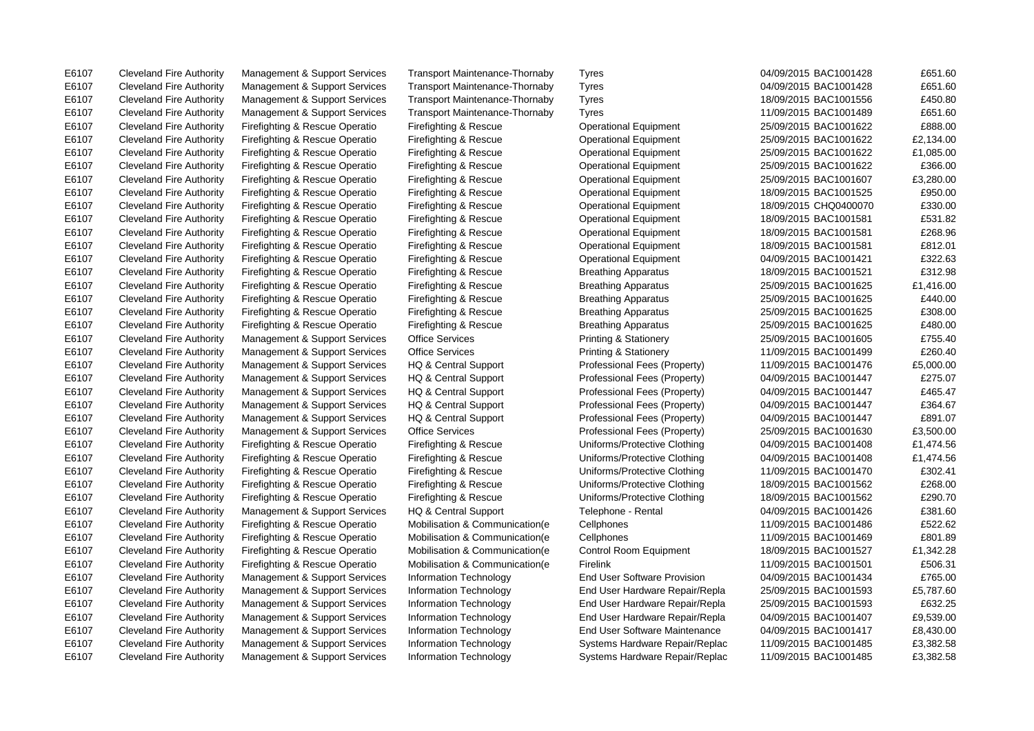E6107 Cleveland Fire Authority Management & Support Services Transport Maintenance-Thornaby Tyres 601/00/2015 BAC1001428 £651.60

E6107 Cleveland Fire Authority Management & Support Services Transport Maintenance-Thornaby Tyres 04/09/2015 BAC1001428 £651.60 E6107 Cleveland Fire Authority Management & Support Services Transport Maintenance-Thornaby Tyres 18/09/2015 BAC1001556 £450.80 E6107 Cleveland Fire Authority Management & Support Services Transport Maintenance-Thornaby Tyres 11/09/2015 BAC1001489 £651.60 E6107 Cleveland Fire Authority Firefighting & Rescue Operatio Firefighting & Rescue Operational Equipment 25/09/2015 BAC1001622 £888.00 E6107 Cleveland Fire Authority Firefighting & Rescue Operatio Firefighting & Rescue Operational Equipment 25/09/2015 BAC1001622 £2,134.00 E6107 Cleveland Fire Authority Firefighting & Rescue Operatio Firefighting & Rescue Operational Equipment 25/09/2015 BAC1001622 £1,085.00 E6107 Cleveland Fire Authority Firefighting & Rescue Operatio Firefighting & Rescue Operational Equipment 25/09/2015 BAC1001622 £366.00 E6107 Cleveland Fire Authority Firefighting & Rescue Operatio Firefighting & Rescue Operational Equipment 25/09/2015 BAC1001607 £3.280.00 E6107 Cleveland Fire Authority Firefighting & Rescue Operatio Firefighting & Rescue Operational Equipment 18/09/2015 BAC1001525 £950.00 E6107 Cleveland Fire Authority Firefighting & Rescue Operatio Firefighting & Rescue Operational Equipment 18/09/2015 CHQ0400070 £330.00 E6107 Cleveland Fire Authority Firefighting & Rescue Operatio Firefighting & Rescue Operational Equipment 18/09/2015 BAC1001581 £531.82 E6107 Cleveland Fire Authority Firefighting & Rescue Operatio Firefighting & Rescue Operational Equipment 18/09/2015 BAC1001581 £268.96 E6107 Cleveland Fire Authority Firefighting & Rescue Operatio Firefighting & Rescue Operational Equipment 18/09/2015 BAC1001581 £812.01 E6107 Cleveland Fire Authority Firefighting & Rescue Operatio Firefighting & Rescue Operational Equipment 04/09/2015 BAC1001421 £322.63 E6107 Cleveland Fire Authority Firefighting & Rescue Operatio Firefighting & Rescue Breathing Apparatus 18/09/2015 BAC1001521 £312.98 E6107 Cleveland Fire Authority Firefighting & Rescue Operatio Firefighting & Rescue Breathing Apparatus 25/09/2015 BAC1001625 £1,416.00 E6107 Cleveland Fire Authority Firefighting & Rescue Operatio Firefighting & Rescue Breathing Apparatus 25/09/2015 BAC1001625 £440.00 E6107 Cleveland Fire Authority Firefighting & Rescue Operatio Firefighting & Rescue Breathing Apparatus 25/09/2015 BAC1001625 £308.00 E6107 Cleveland Fire Authority Firefighting & Rescue Operatio Firefighting & Rescue Breathing Apparatus 25/09/2015 BAC1001625 £480.00 E6107 Cleveland Fire Authority Management & Support Services Office Services Printing & Stationery 25/09/2015 BAC1001605 £755.40 E6107 Cleveland Fire Authority Management & Support Services Office Services Printing & Stationery 11/09/2015 BAC1001499 £260.40 E6107 Cleveland Fire Authority Management & Support Services HQ & Central Support Professional Fees (Property) 11/09/2015 BAC1001476 £5,000.00 E6107 Cleveland Fire Authority Management & Support Services HQ & Central Support Professional Fees (Property) 04/09/2015 BAC1001447 £275.07 E6107 Cleveland Fire Authority Management & Support Services HQ & Central Support Professional Fees (Property) 04/09/2015 BAC1001447 £465.47 E6107 Cleveland Fire Authority Management & Support Services HQ & Central Support Professional Fees (Property) 04/09/2015 BAC1001447 £364.67 E6107 Cleveland Fire Authority Management & Support Services HQ & Central Support Professional Fees (Property) 04/09/2015 BAC1001447 £891.07 E6107 Cleveland Fire Authority Management & Support Services Office Services Professional Fees (Property) 25/09/2015 BAC1001630 £3,500.00 E6107 Cleveland Fire Authority Firefighting & Rescue Operatio Firefighting & Rescue Uniforms/Protective Clothing 04/09/2015 BAC1001408 £1,474.56 E6107 Cleveland Fire Authority Firefighting & Rescue Operatio Firefighting & Rescue Uniforms/Protective Clothing 04/09/2015 BAC1001408 £1,474.56 E6107 Cleveland Fire Authority Firefighting & Rescue Operatio Firefighting & Rescue Uniforms/Protective Clothing 11/09/2015 BAC1001470 £302.41 E6107 Cleveland Fire Authority Firefighting & Rescue Operatio Firefighting & Rescue Uniforms/Protective Clothing 18/09/2015 BAC1001562 £268.00 E6107 Cleveland Fire Authority Firefighting & Rescue Operatio Firefighting & Rescue Uniforms/Protective Clothing 18/09/2015 BAC1001562 £290.70 E6107 Cleveland Fire Authority Management & Support Services HQ & Central Support Telephone - Rental 04/09/2015 BAC1001426 £381.60 E6107 Cleveland Fire Authority Firefighting & Rescue Operatio Mobilisation & Communication(e Cellphones 11/09/2015 BAC1001486 £522.62 E6107 Cleveland Fire Authority Firefighting & Rescue Operatio Mobilisation & Communication(e Cellphones 11/09/2015 BAC1001469 £801.89 E6107 Cleveland Fire Authority Firefighting & Rescue Operatio Mobilisation & Communication(e Control Room Equipment 18/09/2015 BAC1001527 £1,342.28 E6107 Cleveland Fire Authority Firefighting & Rescue Operatio Mobilisation & Communication(e Firelink 11/09/2015 BAC1001501 £506.31 E6107 Cleveland Fire Authority Management & Support Services Information Technology End User Software Provision 04/09/2015 BAC1001434 £765.00 E6107 Cleveland Fire Authority Management & Support Services Information Technology End User Hardware Repair/Repla 25/09/2015 BAC1001593 £5,787.60 E6107 Cleveland Fire Authority Management & Support Services Information Technology End User Hardware Repair/Repla 25/09/2015 BAC1001593 £632.25 E6107 Cleveland Fire Authority Management & Support Services Information Technology End User Hardware Repair/Repla 04/09/2015 BAC1001407 £9,539.00 E6107 Cleveland Fire Authority Management & Support Services Information Technology End User Software Maintenance 04/09/2015 BAC1001417 £8,430.00 E6107 Cleveland Fire Authority Management & Support Services Information Technology Systems Hardware Repair/Replac 11/09/2015 BAC1001485 £3,382.58 E6107 Cleveland Fire Authority Management & Support Services Information Technology Systems Hardware Repair/Replac 11/09/2015 BAC1001485 £3,382.58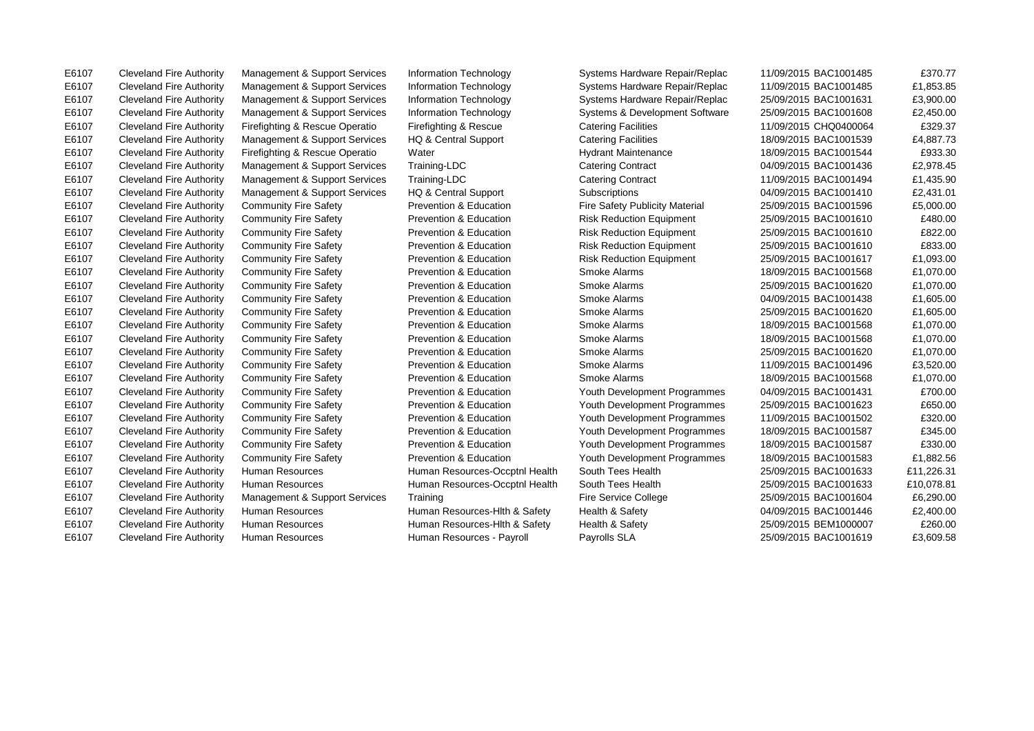E6107 Cleveland Fire Authority Management & Support Services Information Technology Systems Hardware Repair/Replac 11/09/2015 BAC1001485 £370.77

E6107 Cleveland Fire Authority Management & Support Services Information Technology Systems Hardware Repair/Replac 11/09/2015 BAC1001485  $E1,853.85$ E6107 Cleveland Fire Authority Management & Support Services Information Technology Systems Hardware Repair/Replac 25/09/2015 BAC1001631 £3,900.00 E6107 Cleveland Fire Authority Management & Support Services Information Technology Systems & Development Software 25/09/2015 BAC1001608 £2.450.00 E6107 Cleveland Fire Authority Firefighting & Rescue Operatio Firefighting & Rescue Catering Facilities 11/09/2015 CHQ0400064 £329.37 E6107 Cleveland Fire Authority Management & Support Services HQ & Central Support Catering Facilities 18/09/2015 BAC1001539 £4,887.73 E6107 Cleveland Fire Authority Firefighting & Rescue Operatio Water Nater Hydrant Maintenance 18/09/2015 BAC1001544 £933.30 E6107 Cleveland Fire Authority Management & Support Services Training-LDC Catering Contract 04/09/2015 BAC1001436 £2,978.45 E6107 Cleveland Fire Authority Management & Support Services Training-LDC Catering Contract 11/09/2015 BAC1001494 £1,435.90 E6107 Cleveland Fire Authority Management & Support Services HQ & Central Support Subscriptions 64/09/2015 BAC1001410 £2,431.01 E6107 Cleveland Fire Authority Community Fire Safety Prevention & Education Fire Safety Publicity Material 25/09/2015 BAC1001596 £5,000.00 E6107 Cleveland Fire Authority Community Fire Safety Prevention & Education Risk Reduction Equipment 25/09/2015 BAC1001610 £480.00 E6107 Cleveland Fire Authority Community Fire Safety Prevention & Education Risk Reduction Equipment 25/09/2015 BAC1001610 £822.00 E6107 Cleveland Fire Authority Community Fire Safety Prevention & Education Risk Reduction Equipment 25/09/2015 BAC1001610 £833.00 E6107 Cleveland Fire Authority Community Fire Safety Prevention & Education Risk Reduction Equipment 25/09/2015 BAC1001617 £1,093.00 E6107 Cleveland Fire Authority Community Fire Safety Prevention & Education Smoke Alarms 61070/2015 BAC1001568 £1,070.00 E6107 Cleveland Fire Authority Community Fire Safety Prevention & Education Smoke Alarms 25/09/2015 BAC1001620 £1,070.00 E6107 Cleveland Fire Authority Community Fire Safety Prevention & Education Smoke Alarms 04/09/2015 BAC1001438 £1,605.00 E6107 Cleveland Fire Authority Community Fire Safety Prevention & Education Smoke Alarms 25/09/2015 BAC1001620 £1,605.00 E6107 Cleveland Fire Authority Community Fire Safety Prevention & Education Smoke Alarms 18/09/2015 BAC1001568 £1,070.00 E6107 Cleveland Fire Authority Community Fire Safety Prevention & Education Smoke Alarms 18/09/2015 BAC1001568 £1,070.00 E6107 Cleveland Fire Authority Community Fire Safety Prevention & Education Smoke Alarms 25/09/2015 BAC1001620 £1,070.00 E6107 Cleveland Fire Authority Community Fire Safety Prevention & Education Smoke Alarms 11/09/2015 BAC1001496 £3,520.00 E6107 Cleveland Fire Authority Community Fire Safety Prevention & Education Smoke Alarms 18/09/2015 BAC1001568 £1,070.00 E6107 Cleveland Fire Authority Community Fire Safety Prevention & Education Youth Development Programmes 04/09/2015 BAC1001431 £700.00 E6107 Cleveland Fire Authority Community Fire Safety Prevention & Education Youth Development Programmes 25/09/2015 BAC1001623 £650.00 E6107 Cleveland Fire Authority Community Fire Safety Prevention & Education Youth Development Programmes 11/09/2015 BAC1001502 £320.00 E6107 Cleveland Fire Authority Community Fire Safety Prevention & Education Youth Development Programmes 18/09/2015 BAC1001587 £345.00 E6107 Cleveland Fire Authority Community Fire Safety Prevention & Education Youth Development Programmes 18/09/2015 BAC1001587 £330.00 E6107 Cleveland Fire Authority Community Fire Safety Prevention & Education Youth Development Programmes 18/09/2015 BAC1001583 £1,882.56 E6107 Cleveland Fire Authority Human Resources Human Resources-Occptnl Health South Tees Health 25/09/2015 BAC1001633 £11,226.31 E6107 Cleveland Fire Authority Human Resources Human Resources-Occptnl Health South Tees Health 25/09/2015 BAC1001633 £10,078.81 E6107 Cleveland Fire Authority Management & Support Services Training Fire Service College 25/09/2015 BAC1001604 £6,290.00 E6107 Cleveland Fire Authority Human Resources Human Resources-Hlth & Safety Health & Safety 04/09/2015 BAC1001446 £2,400.00 E6107 Cleveland Fire Authority Human Resources Numan Resources-Hlth & Safety Health & Safety 25/09/2015 BEM1000007 £260.00 E6107 Cleveland Fire Authority Human Resources Human Resources - Payroll Payrolls SLA 25/09/2015 BAC1001619 £3,609.58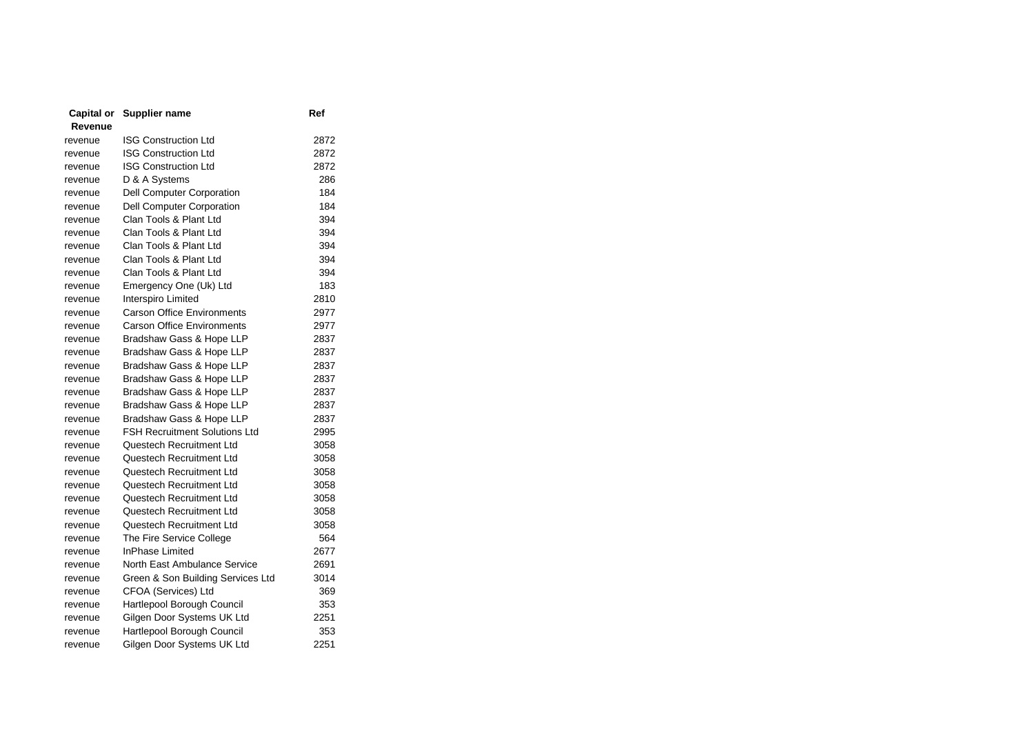| Capital or | Supplier name                        | Ref  |
|------------|--------------------------------------|------|
| Revenue    |                                      |      |
| revenue    | <b>ISG Construction Ltd</b>          | 2872 |
| revenue    | <b>ISG Construction Ltd</b>          | 2872 |
| revenue    | <b>ISG Construction Ltd</b>          | 2872 |
| revenue    | D & A Systems                        | 286  |
| revenue    | Dell Computer Corporation            | 184  |
| revenue    | Dell Computer Corporation            | 184  |
| revenue    | Clan Tools & Plant Ltd               | 394  |
| revenue    | Clan Tools & Plant Ltd               | 394  |
| revenue    | Clan Tools & Plant Ltd               | 394  |
| revenue    | Clan Tools & Plant Ltd               | 394  |
| revenue    | Clan Tools & Plant Ltd               | 394  |
| revenue    | Emergency One (Uk) Ltd               | 183  |
| revenue    | Interspiro Limited                   | 2810 |
| revenue    | <b>Carson Office Environments</b>    | 2977 |
| revenue    | <b>Carson Office Environments</b>    | 2977 |
| revenue    | Bradshaw Gass & Hope LLP             | 2837 |
| revenue    | Bradshaw Gass & Hope LLP             | 2837 |
| revenue    | Bradshaw Gass & Hope LLP             | 2837 |
| revenue    | Bradshaw Gass & Hope LLP             | 2837 |
| revenue    | Bradshaw Gass & Hope LLP             | 2837 |
| revenue    | Bradshaw Gass & Hope LLP             | 2837 |
| revenue    | Bradshaw Gass & Hope LLP             | 2837 |
| revenue    | <b>FSH Recruitment Solutions Ltd</b> | 2995 |
| revenue    | Questech Recruitment Ltd             | 3058 |
| revenue    | Questech Recruitment Ltd             | 3058 |
| revenue    | Questech Recruitment Ltd             | 3058 |
| revenue    | Questech Recruitment Ltd             | 3058 |
| revenue    | Questech Recruitment Ltd             | 3058 |
| revenue    | Questech Recruitment Ltd             | 3058 |
| revenue    | Questech Recruitment Ltd             | 3058 |
| revenue    | The Fire Service College             | 564  |
| revenue    | <b>InPhase Limited</b>               | 2677 |
| revenue    | North East Ambulance Service         | 2691 |
| revenue    | Green & Son Building Services Ltd    | 3014 |
| revenue    | CFOA (Services) Ltd                  | 369  |
| revenue    | Hartlepool Borough Council           | 353  |
| revenue    | Gilgen Door Systems UK Ltd           | 2251 |
| revenue    | Hartlepool Borough Council           | 353  |
| revenue    | Gilgen Door Systems UK Ltd           | 2251 |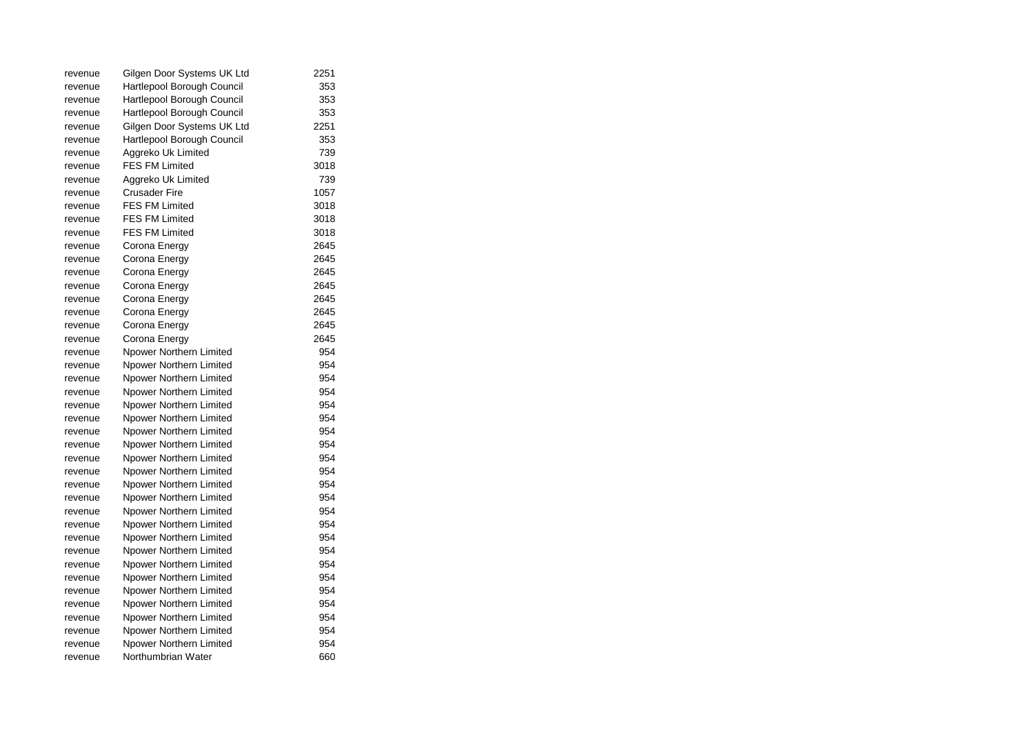| revenue | Gilgen Door Systems UK Ltd | 2251 |
|---------|----------------------------|------|
| revenue | Hartlepool Borough Council | 353  |
| revenue | Hartlepool Borough Council | 353  |
| revenue | Hartlepool Borough Council | 353  |
| revenue | Gilgen Door Systems UK Ltd | 2251 |
| revenue | Hartlepool Borough Council | 353  |
| revenue | Aggreko Uk Limited         | 739  |
| revenue | <b>FES FM Limited</b>      | 3018 |
| revenue | Aggreko Uk Limited         | 739  |
| revenue | <b>Crusader Fire</b>       | 1057 |
| revenue | <b>FES FM Limited</b>      | 3018 |
| revenue | <b>FES FM Limited</b>      | 3018 |
| revenue | <b>FES FM Limited</b>      | 3018 |
| revenue | Corona Energy              | 2645 |
| revenue | Corona Energy              | 2645 |
| revenue | Corona Energy              | 2645 |
| revenue | Corona Energy              | 2645 |
| revenue | Corona Energy              | 2645 |
| revenue | Corona Energy              | 2645 |
| revenue | Corona Energy              | 2645 |
| revenue | Corona Energy              | 2645 |
| revenue | Npower Northern Limited    | 954  |
| revenue | Npower Northern Limited    | 954  |
| revenue | Npower Northern Limited    | 954  |
| revenue | Npower Northern Limited    | 954  |
| revenue | Npower Northern Limited    | 954  |
| revenue | Npower Northern Limited    | 954  |
| revenue | Npower Northern Limited    | 954  |
| revenue | Npower Northern Limited    | 954  |
| revenue | Npower Northern Limited    | 954  |
| revenue | Npower Northern Limited    | 954  |
| revenue | Npower Northern Limited    | 954  |
| revenue | Npower Northern Limited    | 954  |
| revenue | Npower Northern Limited    | 954  |
| revenue | Npower Northern Limited    | 954  |
| revenue | Npower Northern Limited    | 954  |
| revenue | Npower Northern Limited    | 954  |
| revenue | Npower Northern Limited    | 954  |
| revenue | Npower Northern Limited    | 954  |
| revenue | Npower Northern Limited    | 954  |
| revenue | Npower Northern Limited    | 954  |
| revenue | Npower Northern Limited    | 954  |
| revenue | Npower Northern Limited    | 954  |
| revenue | Npower Northern Limited    | 954  |
| revenue | Northumbrian Water         | 660  |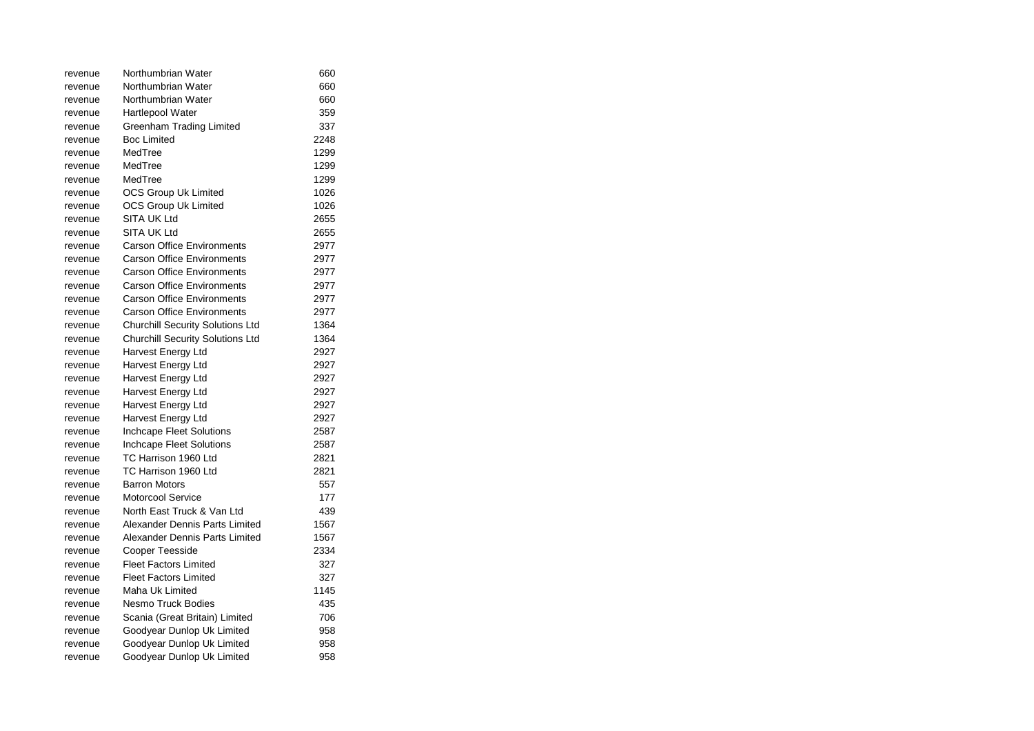| revenue | Northumbrian Water                      | 660  |
|---------|-----------------------------------------|------|
| revenue | Northumbrian Water                      | 660  |
| revenue | Northumbrian Water                      | 660  |
| revenue | <b>Hartlepool Water</b>                 | 359  |
| revenue | Greenham Trading Limited                | 337  |
| revenue | Boc Limited                             | 2248 |
| revenue | MedTree                                 | 1299 |
| revenue | MedTree                                 | 1299 |
| revenue | MedTree                                 | 1299 |
| revenue | <b>OCS Group Uk Limited</b>             | 1026 |
| revenue | <b>OCS Group Uk Limited</b>             | 1026 |
| revenue | <b>SITA UK Ltd</b>                      | 2655 |
| revenue | <b>SITA UK Ltd</b>                      | 2655 |
| revenue | <b>Carson Office Environments</b>       | 2977 |
| revenue | <b>Carson Office Environments</b>       | 2977 |
| revenue | <b>Carson Office Environments</b>       | 2977 |
| revenue | <b>Carson Office Environments</b>       | 2977 |
| revenue | <b>Carson Office Environments</b>       | 2977 |
| revenue | <b>Carson Office Environments</b>       | 2977 |
| revenue | <b>Churchill Security Solutions Ltd</b> | 1364 |
| revenue | <b>Churchill Security Solutions Ltd</b> | 1364 |
| revenue | Harvest Energy Ltd                      | 2927 |
| revenue | Harvest Energy Ltd                      | 2927 |
| revenue | Harvest Energy Ltd                      | 2927 |
| revenue | Harvest Energy Ltd                      | 2927 |
| revenue | Harvest Energy Ltd                      | 2927 |
| revenue | Harvest Energy Ltd                      | 2927 |
| revenue | Inchcape Fleet Solutions                | 2587 |
| revenue | Inchcape Fleet Solutions                | 2587 |
| revenue | TC Harrison 1960 Ltd                    | 2821 |
| revenue | TC Harrison 1960 Ltd                    | 2821 |
| revenue | <b>Barron Motors</b>                    | 557  |
| revenue | Motorcool Service                       | 177  |
| revenue | North East Truck & Van Ltd              | 439  |
| revenue | Alexander Dennis Parts Limited          | 1567 |
| revenue | Alexander Dennis Parts Limited          | 1567 |
| revenue | <b>Cooper Teesside</b>                  | 2334 |
| revenue | <b>Fleet Factors Limited</b>            | 327  |
| revenue | <b>Fleet Factors Limited</b>            | 327  |
| revenue | Maha Uk Limited                         | 1145 |
| revenue | <b>Nesmo Truck Bodies</b>               | 435  |
| revenue | Scania (Great Britain) Limited          | 706  |
| revenue | Goodyear Dunlop Uk Limited              | 958  |
| revenue | Goodyear Dunlop Uk Limited              | 958  |
| revenue | Goodyear Dunlop Uk Limited              | 958  |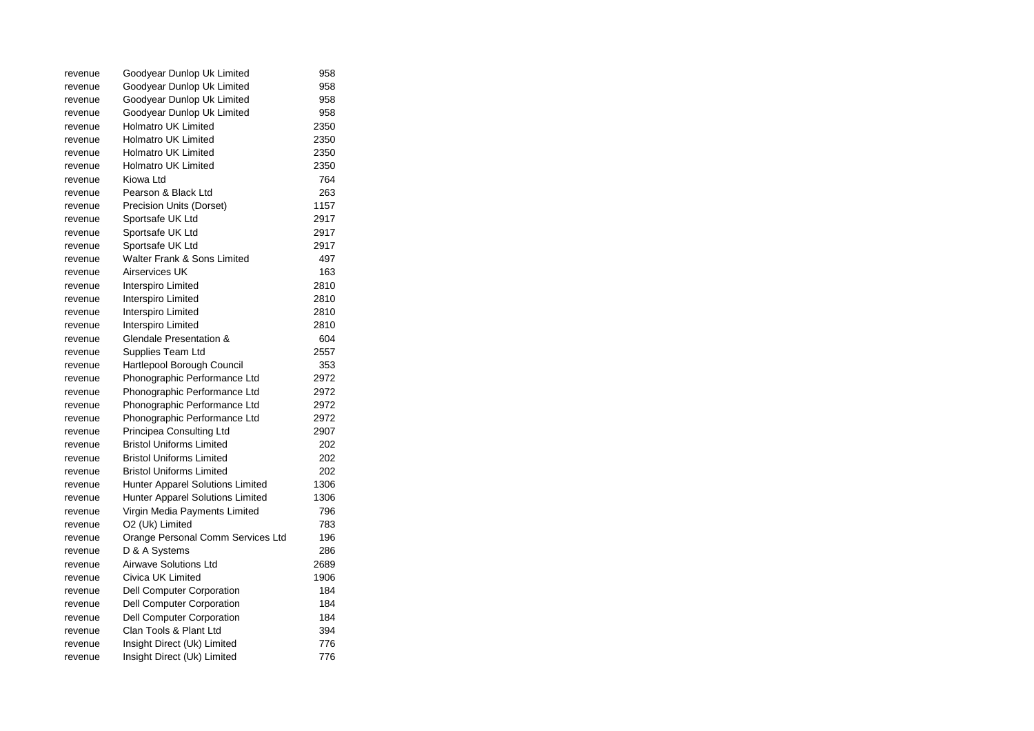| revenue | Goodyear Dunlop Uk Limited        | 958  |
|---------|-----------------------------------|------|
| revenue | Goodyear Dunlop Uk Limited        | 958  |
| revenue | Goodyear Dunlop Uk Limited        | 958  |
| revenue | Goodyear Dunlop Uk Limited        | 958  |
| revenue | <b>Holmatro UK Limited</b>        | 2350 |
| revenue | <b>Holmatro UK Limited</b>        | 2350 |
| revenue | <b>Holmatro UK Limited</b>        | 2350 |
| revenue | <b>Holmatro UK Limited</b>        | 2350 |
| revenue | Kiowa Ltd                         | 764  |
| revenue | Pearson & Black Ltd               | 263  |
| revenue | Precision Units (Dorset)          | 1157 |
| revenue | Sportsafe UK Ltd                  | 2917 |
| revenue | Sportsafe UK Ltd                  | 2917 |
| revenue | Sportsafe UK Ltd                  | 2917 |
| revenue | Walter Frank & Sons Limited       | 497  |
| revenue | <b>Airservices UK</b>             | 163  |
| revenue | Interspiro Limited                | 2810 |
| revenue | Interspiro Limited                | 2810 |
| revenue | Interspiro Limited                | 2810 |
| revenue | Interspiro Limited                | 2810 |
| revenue | Glendale Presentation &           | 604  |
| revenue | Supplies Team Ltd                 | 2557 |
| revenue | Hartlepool Borough Council        | 353  |
| revenue | Phonographic Performance Ltd      | 2972 |
| revenue | Phonographic Performance Ltd      | 2972 |
| revenue | Phonographic Performance Ltd      | 2972 |
| revenue | Phonographic Performance Ltd      | 2972 |
| revenue | Principea Consulting Ltd          | 2907 |
| revenue | <b>Bristol Uniforms Limited</b>   | 202  |
| revenue | <b>Bristol Uniforms Limited</b>   | 202  |
| revenue | <b>Bristol Uniforms Limited</b>   | 202  |
| revenue | Hunter Apparel Solutions Limited  | 1306 |
| revenue | Hunter Apparel Solutions Limited  | 1306 |
| revenue | Virgin Media Payments Limited     | 796  |
| revenue | O2 (Uk) Limited                   | 783  |
| revenue | Orange Personal Comm Services Ltd | 196  |
| revenue | D & A Systems                     | 286  |
| revenue | <b>Airwave Solutions Ltd</b>      | 2689 |
| revenue | Civica UK Limited                 | 1906 |
| revenue | Dell Computer Corporation         | 184  |
| revenue | Dell Computer Corporation         | 184  |
| revenue | <b>Dell Computer Corporation</b>  | 184  |
| revenue | Clan Tools & Plant Ltd            | 394  |
| revenue | Insight Direct (Uk) Limited       | 776  |
| revenue | Insight Direct (Uk) Limited       | 776  |